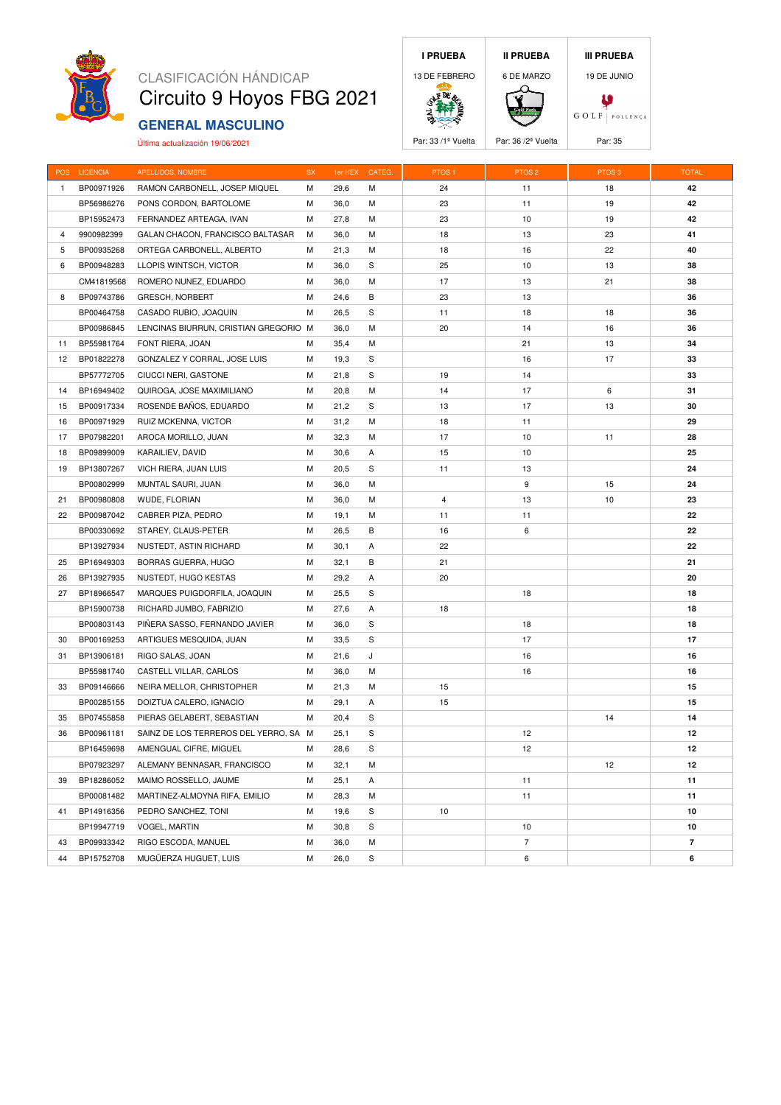

# CLASIFICACIÓN HÁNDICAP Circuito 9 Hoyos FBG 2021

## **GENERAL MASCULINO**

Última actualización 19/06/2021





| <b>POS</b>      | <b>LICENCIA</b> | APELLIDOS, NOMBRE                     | ${\sf SX}$ | 1er HEX | CATEG | PTOS <sub>1</sub> | PTOS <sub>2</sub> | PTOS <sub>3</sub> | <b>TOTAL</b>   |
|-----------------|-----------------|---------------------------------------|------------|---------|-------|-------------------|-------------------|-------------------|----------------|
| $\mathbf{1}$    | BP00971926      | RAMON CARBONELL, JOSEP MIQUEL         | М          | 29,6    | М     | 24                | 11                | 18                | 42             |
|                 | BP56986276      | PONS CORDON, BARTOLOME                | М          | 36,0    | М     | 23                | 11                | 19                | 42             |
|                 | BP15952473      | FERNANDEZ ARTEAGA, IVAN               | М          | 27,8    | М     | 23                | 10                | 19                | 42             |
| 4               | 9900982399      | GALAN CHACON, FRANCISCO BALTASAR      | М          | 36,0    | М     | 18                | 13                | 23                | 41             |
| 5               | BP00935268      | ORTEGA CARBONELL, ALBERTO             | M          | 21,3    | M     | 18                | 16                | 22                | 40             |
| 6               | BP00948283      | LLOPIS WINTSCH, VICTOR                | М          | 36,0    | S     | 25                | 10                | 13                | 38             |
|                 | CM41819568      | ROMERO NUNEZ, EDUARDO                 | М          | 36,0    | M     | 17                | 13                | 21                | 38             |
| 8               | BP09743786      | <b>GRESCH, NORBERT</b>                | М          | 24,6    | В     | 23                | 13                |                   | 36             |
|                 | BP00464758      | CASADO RUBIO, JOAQUIN                 | M          | 26,5    | S     | 11                | 18                | 18                | 36             |
|                 | BP00986845      | LENCINAS BIURRUN, CRISTIAN GREGORIO M |            | 36,0    | М     | 20                | 14                | 16                | 36             |
| 11              | BP55981764      | FONT RIERA, JOAN                      | Μ          | 35,4    | Μ     |                   | 21                | 13                | 34             |
| 12 <sup>2</sup> | BP01822278      | GONZALEZ Y CORRAL, JOSE LUIS          | M          | 19,3    | S     |                   | 16                | 17                | 33             |
|                 | BP57772705      | CIUCCI NERI, GASTONE                  | м          | 21,8    | S     | 19                | 14                |                   | 33             |
| 14              | BP16949402      | QUIROGA, JOSE MAXIMILIANO             | M          | 20,8    | M     | 14                | 17                | 6                 | 31             |
| 15              | BP00917334      | ROSENDE BAÑOS, EDUARDO                | М          | 21,2    | S     | 13                | 17                | 13                | 30             |
| 16              | BP00971929      | RUIZ MCKENNA, VICTOR                  | М          | 31,2    | М     | 18                | 11                |                   | 29             |
| 17              | BP07982201      | AROCA MORILLO, JUAN                   | М          | 32,3    | М     | 17                | 10                | 11                | 28             |
| 18              | BP09899009      | KARAILIEV, DAVID                      | М          | 30,6    | Α     | 15                | 10                |                   | 25             |
| 19              | BP13807267      | VICH RIERA, JUAN LUIS                 | М          | 20,5    | S     | 11                | 13                |                   | 24             |
|                 | BP00802999      | MUNTAL SAURI, JUAN                    | М          | 36,0    | M     |                   | 9                 | 15                | 24             |
| 21              | BP00980808      | WUDE, FLORIAN                         | Μ          | 36,0    | М     | $\overline{4}$    | 13                | 10                | 23             |
| 22              | BP00987042      | CABRER PIZA, PEDRO                    | М          | 19,1    | M     | 11                | 11                |                   | 22             |
|                 | BP00330692      | STAREY, CLAUS-PETER                   | М          | 26,5    | В     | 16                | 6                 |                   | 22             |
|                 | BP13927934      | NUSTEDT, ASTIN RICHARD                | M          | 30,1    | Α     | 22                |                   |                   | 22             |
| 25              | BP16949303      | BORRAS GUERRA, HUGO                   | M          | 32,1    | В     | 21                |                   |                   | 21             |
| 26              | BP13927935      | NUSTEDT, HUGO KESTAS                  | М          | 29,2    | A     | 20                |                   |                   | 20             |
| 27              | BP18966547      | MARQUES PUIGDORFILA, JOAQUIN          | М          | 25,5    | S     |                   | 18                |                   | 18             |
|                 | BP15900738      | RICHARD JUMBO, FABRIZIO               | M          | 27,6    | A     | 18                |                   |                   | 18             |
|                 | BP00803143      | PIÑERA SASSO, FERNANDO JAVIER         | М          | 36,0    | S     |                   | 18                |                   | 18             |
| 30              | BP00169253      | ARTIGUES MESQUIDA, JUAN               | М          | 33,5    | S     |                   | 17                |                   | 17             |
| 31              | BP13906181      | RIGO SALAS, JOAN                      | М          | 21,6    | J     |                   | 16                |                   | 16             |
|                 | BP55981740      | CASTELL VILLAR, CARLOS                | M          | 36,0    | м     |                   | 16                |                   | 16             |
| 33              | BP09146666      | NEIRA MELLOR, CHRISTOPHER             | M          | 21,3    | M     | 15                |                   |                   | 15             |
|                 | BP00285155      | DOIZTUA CALERO, IGNACIO               | М          | 29,1    | Α     | 15                |                   |                   | 15             |
| 35              | BP07455858      | PIERAS GELABERT, SEBASTIAN            | M          | 20,4    | S     |                   |                   | 14                | 14             |
| 36              | BP00961181      | SAINZ DE LOS TERREROS DEL YERRO, SA M |            | 25,1    | S     |                   | 12                |                   | 12             |
|                 | BP16459698      | AMENGUAL CIFRE, MIGUEL                | M          | 28,6    | S     |                   | 12                |                   | 12             |
|                 | BP07923297      | ALEMANY BENNASAR, FRANCISCO           | М          | 32,1    | M     |                   |                   | 12                | 12             |
| 39              | BP18286052      | MAIMO ROSSELLO, JAUME                 | М          | 25,1    | Α     |                   | 11                |                   | 11             |
|                 | BP00081482      | MARTINEZ-ALMOYNA RIFA, EMILIO         | М          | 28,3    | м     |                   | 11                |                   | 11             |
| 41              | BP14916356      | PEDRO SANCHEZ, TONI                   | М          | 19,6    | S     | 10                |                   |                   | 10             |
|                 | BP19947719      | VOGEL, MARTIN                         | М          | 30,8    | S     |                   | 10                |                   | 10             |
| 43              | BP09933342      | RIGO ESCODA, MANUEL                   | M          | 36,0    | M     |                   | $\overline{7}$    |                   | $\overline{7}$ |

44 BP15752708 MUGÜERZA HUGUET, LUIS M 26,0 S 6 **6**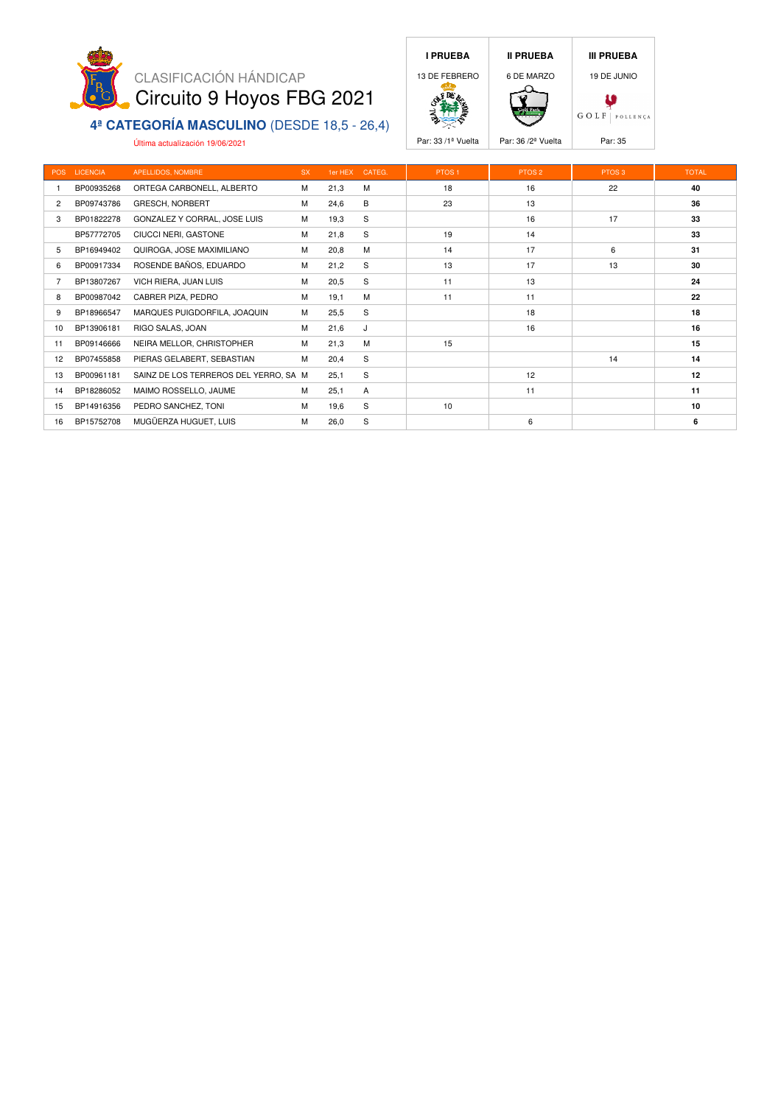

#### **4ª CATEGORÍA MASCULINO** (DESDE 18,5 - 26,4)

Última actualización 19/06/2021





Par: 33 /1<sup>ª</sup> Vuelta **Par: 36 /2<sup>ª</sup> Vuelta** Par: 35

|                | POS LICENCIA | APELLIDOS, NOMBRE                     | <b>SX</b> | 1er HEX | CATEG. | PTOS <sub>1</sub> | PTOS <sub>2</sub> | PTOS <sub>3</sub> | <b>TOTAL</b> |
|----------------|--------------|---------------------------------------|-----------|---------|--------|-------------------|-------------------|-------------------|--------------|
|                | BP00935268   | ORTEGA CARBONELL, ALBERTO             | M         | 21,3    | M      | 18                | 16                | 22                | 40           |
| $\overline{c}$ | BP09743786   | <b>GRESCH, NORBERT</b>                | M         | 24,6    | B      | 23                | 13                |                   | 36           |
| 3              | BP01822278   | GONZALEZ Y CORRAL, JOSE LUIS          | M         | 19,3    | S      |                   | 16                | 17                | 33           |
|                | BP57772705   | CIUCCI NERI, GASTONE                  | M         | 21,8    | S      | 19                | 14                |                   | 33           |
| 5              | BP16949402   | QUIROGA, JOSE MAXIMILIANO             | M         | 20,8    | M      | 14                | 17                | 6                 | 31           |
| 6              | BP00917334   | ROSENDE BAÑOS, EDUARDO                | M         | 21,2    | S      | 13                | 17                | 13                | 30           |
| 7              | BP13807267   | VICH RIERA, JUAN LUIS                 | M         | 20,5    | S      | 11                | 13                |                   | 24           |
| 8              | BP00987042   | CABRER PIZA, PEDRO                    | M         | 19,1    | M      | 11                | 11                |                   | 22           |
| 9              | BP18966547   | MARQUES PUIGDORFILA, JOAQUIN          | M         | 25,5    | S      |                   | 18                |                   | 18           |
| 10             | BP13906181   | RIGO SALAS, JOAN                      | M         | 21,6    | J      |                   | 16                |                   | 16           |
| 11             | BP09146666   | NEIRA MELLOR, CHRISTOPHER             | M         | 21,3    | M      | 15                |                   |                   | 15           |
| 12             | BP07455858   | PIERAS GELABERT, SEBASTIAN            | M         | 20,4    | S      |                   |                   | 14                | 14           |
| 13             | BP00961181   | SAINZ DE LOS TERREROS DEL YERRO, SA M |           | 25,1    | S      |                   | 12                |                   | 12           |
| 14             | BP18286052   | MAIMO ROSSELLO, JAUME                 | M         | 25,1    | A      |                   | 11                |                   | 11           |
| 15             | BP14916356   | PEDRO SANCHEZ, TONI                   | M         | 19,6    | S      | 10                |                   |                   | 10           |
| 16             | BP15752708   | MUGÜERZA HUGUET, LUIS                 | M         | 26,0    | S      |                   | 6                 |                   | 6            |
|                |              |                                       |           |         |        |                   |                   |                   |              |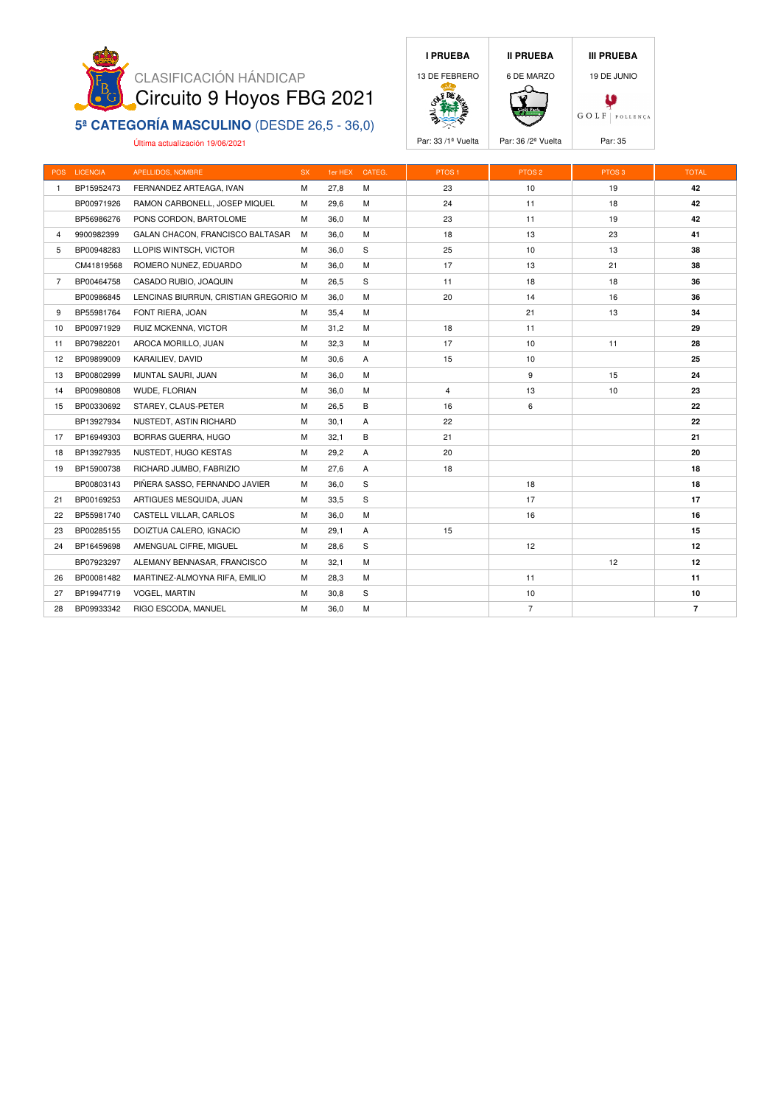

#### **5ª CATEGORÍA MASCULINO** (DESDE 26,5 - 36,0)

Última actualización 19/06/2021





Par: 33 /1<sup>ª</sup> Vuelta **Par: 36 /2<sup>ª</sup> Vuelta** Par: 35

|              | POS LICENCIA | APELLIDOS, NOMBRE                     | <b>SX</b> |      | 1er HEX CATEG. | PTOS <sub>1</sub> | PTOS <sub>2</sub> | PTOS <sub>3</sub> | <b>TOTAL</b>   |
|--------------|--------------|---------------------------------------|-----------|------|----------------|-------------------|-------------------|-------------------|----------------|
| $\mathbf{1}$ | BP15952473   | FERNANDEZ ARTEAGA, IVAN               | M         | 27,8 | M              | 23                | 10                | 19                | 42             |
|              | BP00971926   | RAMON CARBONELL, JOSEP MIQUEL         | м         | 29,6 | М              | 24                | 11                | 18                | 42             |
|              | BP56986276   | PONS CORDON, BARTOLOME                | м         | 36,0 | м              | 23                | 11                | 19                | 42             |
| 4            | 9900982399   | GALAN CHACON, FRANCISCO BALTASAR      | M         | 36,0 | м              | 18                | 13                | 23                | 41             |
| 5            | BP00948283   | LLOPIS WINTSCH, VICTOR                | м         | 36,0 | S              | 25                | 10                | 13                | 38             |
|              | CM41819568   | ROMERO NUNEZ, EDUARDO                 | м         | 36,0 | M              | 17                | 13                | 21                | 38             |
| $7^{\circ}$  | BP00464758   | CASADO RUBIO, JOAQUIN                 | м         | 26,5 | S              | 11                | 18                | 18                | 36             |
|              | BP00986845   | LENCINAS BIURRUN, CRISTIAN GREGORIO M |           | 36,0 | м              | 20                | 14                | 16                | 36             |
| 9            | BP55981764   | FONT RIERA, JOAN                      | м         | 35,4 | M              |                   | 21                | 13                | 34             |
| 10           | BP00971929   | RUIZ MCKENNA, VICTOR                  | М         | 31,2 | М              | 18                | 11                |                   | 29             |
| 11           | BP07982201   | AROCA MORILLO, JUAN                   | M         | 32,3 | М              | 17                | 10                | 11                | 28             |
| 12           | BP09899009   | KARAILIEV, DAVID                      | М         | 30,6 | Α              | 15                | 10                |                   | 25             |
| 13           | BP00802999   | MUNTAL SAURI, JUAN                    | M         | 36,0 | M              |                   | 9                 | 15                | 24             |
| 14           | BP00980808   | <b>WUDE, FLORIAN</b>                  | M         | 36,0 | M              | $\overline{4}$    | 13                | 10                | 23             |
| 15           | BP00330692   | STAREY, CLAUS-PETER                   | М         | 26,5 | B              | 16                | 6                 |                   | 22             |
|              | BP13927934   | NUSTEDT, ASTIN RICHARD                | M         | 30,1 | Α              | 22                |                   |                   | 22             |
| 17           | BP16949303   | BORRAS GUERRA, HUGO                   | М         | 32,1 | В              | 21                |                   |                   | 21             |
| 18           | BP13927935   | NUSTEDT, HUGO KESTAS                  | М         | 29,2 | Α              | 20                |                   |                   | 20             |
| 19           | BP15900738   | RICHARD JUMBO, FABRIZIO               | M         | 27,6 | Α              | 18                |                   |                   | 18             |
|              | BP00803143   | PIÑERA SASSO, FERNANDO JAVIER         | м         | 36,0 | S              |                   | 18                |                   | 18             |
| 21           | BP00169253   | ARTIGUES MESQUIDA, JUAN               | м         | 33,5 | S              |                   | 17                |                   | 17             |
| 22           | BP55981740   | CASTELL VILLAR, CARLOS                | м         | 36,0 | M              |                   | 16                |                   | 16             |
| 23           | BP00285155   | DOIZTUA CALERO, IGNACIO               | м         | 29,1 | Α              | 15                |                   |                   | 15             |
| 24           | BP16459698   | AMENGUAL CIFRE, MIGUEL                | м         | 28,6 | S              |                   | 12                |                   | 12             |
|              | BP07923297   | ALEMANY BENNASAR, FRANCISCO           | м         | 32,1 | M              |                   |                   | 12                | 12             |
| 26           | BP00081482   | MARTINEZ-ALMOYNA RIFA, EMILIO         | м         | 28,3 | M              |                   | 11                |                   | 11             |
| 27           | BP19947719   | <b>VOGEL, MARTIN</b>                  | М         | 30,8 | S              |                   | 10                |                   | 10             |
| 28           | BP09933342   | RIGO ESCODA, MANUEL                   | M         | 36,0 | M              |                   | $\overline{7}$    |                   | $\overline{7}$ |
|              |              |                                       |           |      |                |                   |                   |                   |                |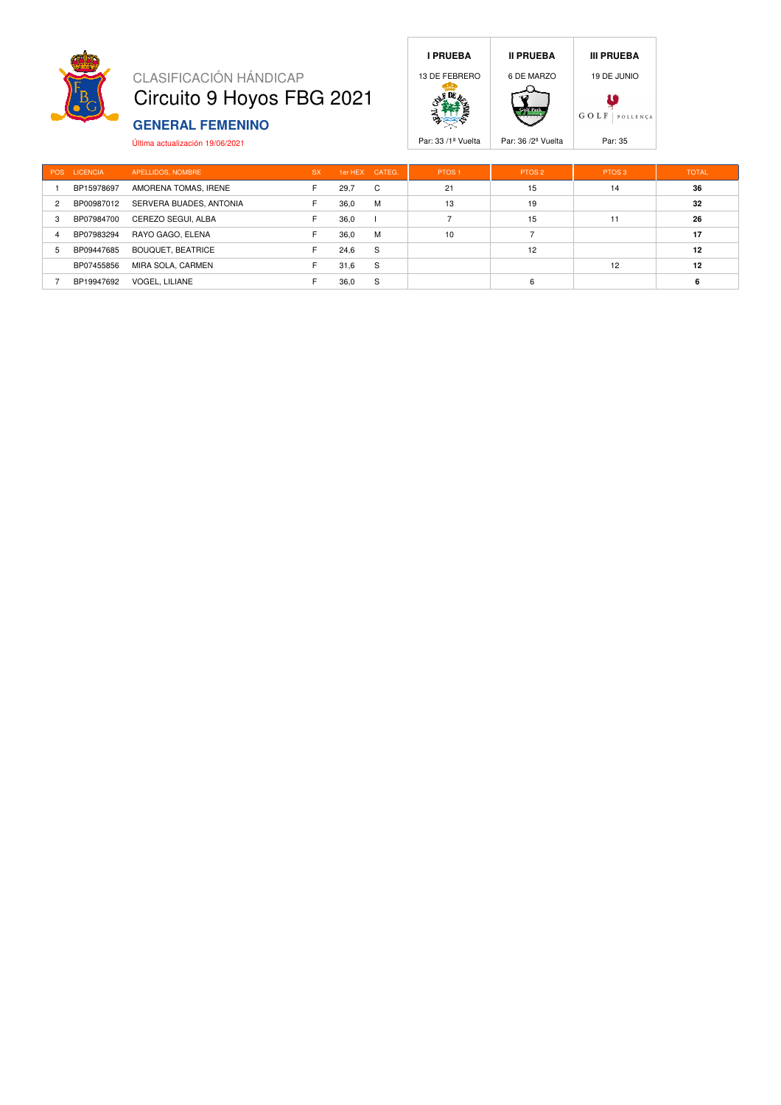

## CLASIFICACIÓN HÁNDICAP Circuito 9 Hoyos FBG 2021

## **GENERAL FEMENINO**

Última actualización 19/06/2021





|                | POS LICENCIA | APELLIDOS, NOMBRE       | <b>SX</b> | 1er HEX CATEG. |   | PTOS <sub>1</sub> | PTOS <sub>2</sub> | PTOS <sub>3</sub> | <b>TOTAL</b> |
|----------------|--------------|-------------------------|-----------|----------------|---|-------------------|-------------------|-------------------|--------------|
|                | BP15978697   | AMORENA TOMAS, IRENE    |           | 29,7           | C | 21                | 15                | 14                | 36           |
| $\overline{2}$ | BP00987012   | SERVERA BUADES, ANTONIA | F         | 36.0           | M | 13                | 19                |                   | 32           |
| 3              | BP07984700   | CEREZO SEGUI, ALBA      |           | 36,0           |   |                   | 15                | 11                | 26           |
| $\overline{4}$ | BP07983294   | RAYO GAGO, ELENA        |           | 36.0           | M | 10                |                   |                   | 17           |
| 5              | BP09447685   | BOUQUET, BEATRICE       |           | 24,6           | S |                   | 12                |                   | 12           |
|                | BP07455856   | MIRA SOLA, CARMEN       |           | 31,6           | S |                   |                   | 12                | 12           |
|                | BP19947692   | VOGEL, LILIANE          |           | 36,0           | S |                   | 6                 |                   | 6            |